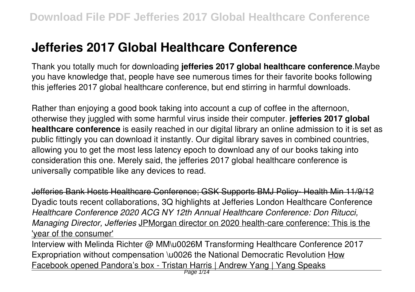# **Jefferies 2017 Global Healthcare Conference**

Thank you totally much for downloading **jefferies 2017 global healthcare conference**.Maybe you have knowledge that, people have see numerous times for their favorite books following this jefferies 2017 global healthcare conference, but end stirring in harmful downloads.

Rather than enjoying a good book taking into account a cup of coffee in the afternoon, otherwise they juggled with some harmful virus inside their computer. **jefferies 2017 global healthcare conference** is easily reached in our digital library an online admission to it is set as public fittingly you can download it instantly. Our digital library saves in combined countries, allowing you to get the most less latency epoch to download any of our books taking into consideration this one. Merely said, the jefferies 2017 global healthcare conference is universally compatible like any devices to read.

Jefferies Bank Hosts Healthcare Conference; GSK Supports BMJ Policy- Health Min 11/9/12 Dyadic touts recent collaborations, 3Q highlights at Jefferies London Healthcare Conference *Healthcare Conference 2020 ACG NY 12th Annual Healthcare Conference: Don Ritucci, Managing Director, Jefferies* JPMorgan director on 2020 health-care conference: This is the 'year of the consumer'

Interview with Melinda Richter @ MM\u0026M Transforming Healthcare Conference 2017 Expropriation without compensation \u0026 the National Democratic Revolution How Facebook opened Pandora's box - Tristan Harris | Andrew Yang | Yang Speaks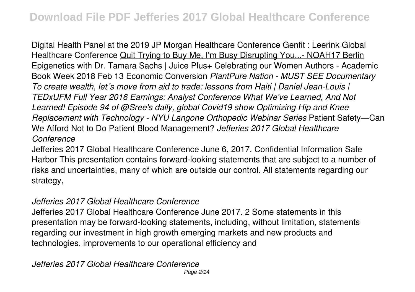Digital Health Panel at the 2019 JP Morgan Healthcare Conference Genfit : Leerink Global Healthcare Conference Quit Trying to Buy Me, I'm Busy Disrupting You...- NOAH17 Berlin Epigenetics with Dr. Tamara Sachs | Juice Plus+ Celebrating our Women Authors - Academic Book Week 2018 Feb 13 Economic Conversion *PlantPure Nation - MUST SEE Documentary To create wealth, let´s move from aid to trade: lessons from Haiti | Daniel Jean-Louis | TEDxUFM Full Year 2016 Earnings: Analyst Conference What We've Learned, And Not Learned! Episode 94 of @Sree's daily, global Covid19 show Optimizing Hip and Knee Replacement with Technology - NYU Langone Orthopedic Webinar Series* Patient Safety—Can We Afford Not to Do Patient Blood Management? *Jefferies 2017 Global Healthcare Conference*

Jefferies 2017 Global Healthcare Conference June 6, 2017. Confidential Information Safe Harbor This presentation contains forward-looking statements that are subject to a number of risks and uncertainties, many of which are outside our control. All statements regarding our strategy,

### *Jefferies 2017 Global Healthcare Conference*

Jefferies 2017 Global Healthcare Conference June 2017. 2 Some statements in this presentation may be forward-looking statements, including, without limitation, statements regarding our investment in high growth emerging markets and new products and technologies, improvements to our operational efficiency and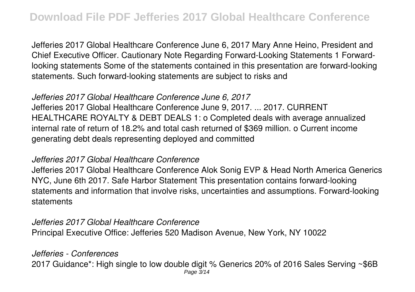Jefferies 2017 Global Healthcare Conference June 6, 2017 Mary Anne Heino, President and Chief Executive Officer. Cautionary Note Regarding Forward-Looking Statements 1 Forwardlooking statements Some of the statements contained in this presentation are forward-looking statements. Such forward-looking statements are subject to risks and

### *Jefferies 2017 Global Healthcare Conference June 6, 2017*

Jefferies 2017 Global Healthcare Conference June 9, 2017. ... 2017. CURRENT HEALTHCARE ROYALTY & DEBT DEALS 1: o Completed deals with average annualized internal rate of return of 18.2% and total cash returned of \$369 million. o Current income generating debt deals representing deployed and committed

#### *Jefferies 2017 Global Healthcare Conference*

Jefferies 2017 Global Healthcare Conference Alok Sonig EVP & Head North America Generics NYC, June 6th 2017. Safe Harbor Statement This presentation contains forward-looking statements and information that involve risks, uncertainties and assumptions. Forward-looking statements

### *Jefferies 2017 Global Healthcare Conference* Principal Executive Office: Jefferies 520 Madison Avenue, New York, NY 10022

### *Jefferies - Conferences*

2017 Guidance\*: High single to low double digit % Generics 20% of 2016 Sales Serving ~\$6B Page 3/14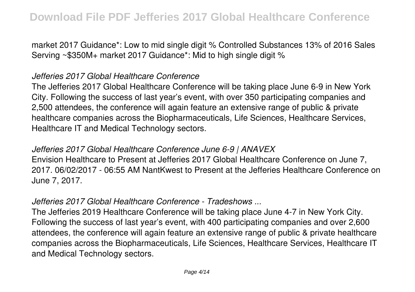market 2017 Guidance\*: Low to mid single digit % Controlled Substances 13% of 2016 Sales Serving ~\$350M+ market 2017 Guidance\*: Mid to high single digit %

### *Jefferies 2017 Global Healthcare Conference*

The Jefferies 2017 Global Healthcare Conference will be taking place June 6-9 in New York City. Following the success of last year's event, with over 350 participating companies and 2,500 attendees, the conference will again feature an extensive range of public & private healthcare companies across the Biopharmaceuticals, Life Sciences, Healthcare Services, Healthcare IT and Medical Technology sectors.

### *Jefferies 2017 Global Healthcare Conference June 6-9 | ANAVEX*

Envision Healthcare to Present at Jefferies 2017 Global Healthcare Conference on June 7, 2017. 06/02/2017 - 06:55 AM NantKwest to Present at the Jefferies Healthcare Conference on June 7, 2017.

### *Jefferies 2017 Global Healthcare Conference - Tradeshows ...*

The Jefferies 2019 Healthcare Conference will be taking place June 4-7 in New York City. Following the success of last year's event, with 400 participating companies and over 2,600 attendees, the conference will again feature an extensive range of public & private healthcare companies across the Biopharmaceuticals, Life Sciences, Healthcare Services, Healthcare IT and Medical Technology sectors.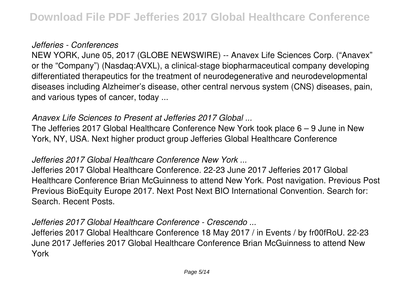### *Jefferies - Conferences*

NEW YORK, June 05, 2017 (GLOBE NEWSWIRE) -- Anavex Life Sciences Corp. ("Anavex" or the "Company") (Nasdaq:AVXL), a clinical-stage biopharmaceutical company developing differentiated therapeutics for the treatment of neurodegenerative and neurodevelopmental diseases including Alzheimer's disease, other central nervous system (CNS) diseases, pain, and various types of cancer, today ...

### *Anavex Life Sciences to Present at Jefferies 2017 Global ...*

The Jefferies 2017 Global Healthcare Conference New York took place 6 – 9 June in New York, NY, USA. Next higher product group Jefferies Global Healthcare Conference

### *Jefferies 2017 Global Healthcare Conference New York ...*

Jefferies 2017 Global Healthcare Conference. 22-23 June 2017 Jefferies 2017 Global Healthcare Conference Brian McGuinness to attend New York. Post navigation. Previous Post Previous BioEquity Europe 2017. Next Post Next BIO International Convention. Search for: Search. Recent Posts.

### *Jefferies 2017 Global Healthcare Conference - Crescendo ...*

Jefferies 2017 Global Healthcare Conference 18 May 2017 / in Events / by fr00fRoU. 22-23 June 2017 Jefferies 2017 Global Healthcare Conference Brian McGuinness to attend New York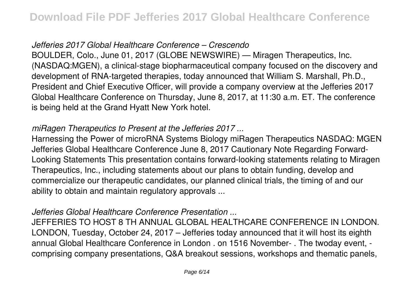### *Jefferies 2017 Global Healthcare Conference – Crescendo*

BOULDER, Colo., June 01, 2017 (GLOBE NEWSWIRE) — Miragen Therapeutics, Inc. (NASDAQ:MGEN), a clinical-stage biopharmaceutical company focused on the discovery and development of RNA-targeted therapies, today announced that William S. Marshall, Ph.D., President and Chief Executive Officer, will provide a company overview at the Jefferies 2017 Global Healthcare Conference on Thursday, June 8, 2017, at 11:30 a.m. ET. The conference is being held at the Grand Hyatt New York hotel.

### *miRagen Therapeutics to Present at the Jefferies 2017 ...*

Harnessing the Power of microRNA Systems Biology miRagen Therapeutics NASDAQ: MGEN Jefferies Global Healthcare Conference June 8, 2017 Cautionary Note Regarding Forward-Looking Statements This presentation contains forward-looking statements relating to Miragen Therapeutics, Inc., including statements about our plans to obtain funding, develop and commercialize our therapeutic candidates, our planned clinical trials, the timing of and our ability to obtain and maintain regulatory approvals ...

### *Jefferies Global Healthcare Conference Presentation ...*

JEFFERIES TO HOST 8 TH ANNUAL GLOBAL HEALTHCARE CONFERENCE IN LONDON. LONDON, Tuesday, October 24, 2017 – Jefferies today announced that it will host its eighth annual Global Healthcare Conference in London . on 1516 November- . The twoday event, comprising company presentations, Q&A breakout sessions, workshops and thematic panels,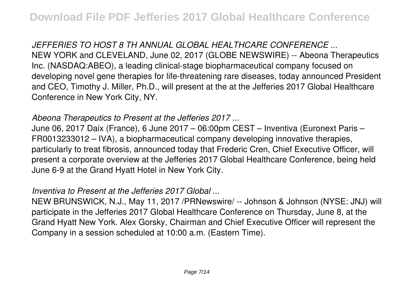*JEFFERIES TO HOST 8 TH ANNUAL GLOBAL HEALTHCARE CONFERENCE ...* NEW YORK and CLEVELAND, June 02, 2017 (GLOBE NEWSWIRE) -- Abeona Therapeutics Inc. (NASDAQ:ABEO), a leading clinical-stage biopharmaceutical company focused on developing novel gene therapies for life-threatening rare diseases, today announced President and CEO, Timothy J. Miller, Ph.D., will present at the at the Jefferies 2017 Global Healthcare Conference in New York City, NY.

### *Abeona Therapeutics to Present at the Jefferies 2017 ...*

June 06, 2017 Daix (France), 6 June 2017 – 06:00pm CEST – Inventiva (Euronext Paris – FR0013233012 – IVA), a biopharmaceutical company developing innovative therapies, particularly to treat fibrosis, announced today that Frederic Cren, Chief Executive Officer, will present a corporate overview at the Jefferies 2017 Global Healthcare Conference, being held June 6-9 at the Grand Hyatt Hotel in New York City.

### *Inventiva to Present at the Jefferies 2017 Global ...*

NEW BRUNSWICK, N.J., May 11, 2017 /PRNewswire/ -- Johnson & Johnson (NYSE: JNJ) will participate in the Jefferies 2017 Global Healthcare Conference on Thursday, June 8, at the Grand Hyatt New York. Alex Gorsky, Chairman and Chief Executive Officer will represent the Company in a session scheduled at 10:00 a.m. (Eastern Time).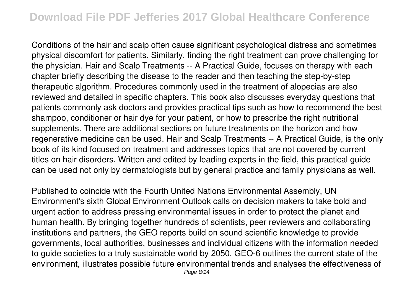Conditions of the hair and scalp often cause significant psychological distress and sometimes physical discomfort for patients. Similarly, finding the right treatment can prove challenging for the physician. Hair and Scalp Treatments -- A Practical Guide, focuses on therapy with each chapter briefly describing the disease to the reader and then teaching the step-by-step therapeutic algorithm. Procedures commonly used in the treatment of alopecias are also reviewed and detailed in specific chapters. This book also discusses everyday questions that patients commonly ask doctors and provides practical tips such as how to recommend the best shampoo, conditioner or hair dye for your patient, or how to prescribe the right nutritional supplements. There are additional sections on future treatments on the horizon and how regenerative medicine can be used. Hair and Scalp Treatments -- A Practical Guide, is the only book of its kind focused on treatment and addresses topics that are not covered by current titles on hair disorders. Written and edited by leading experts in the field, this practical guide can be used not only by dermatologists but by general practice and family physicians as well.

Published to coincide with the Fourth United Nations Environmental Assembly, UN Environment's sixth Global Environment Outlook calls on decision makers to take bold and urgent action to address pressing environmental issues in order to protect the planet and human health. By bringing together hundreds of scientists, peer reviewers and collaborating institutions and partners, the GEO reports build on sound scientific knowledge to provide governments, local authorities, businesses and individual citizens with the information needed to guide societies to a truly sustainable world by 2050. GEO-6 outlines the current state of the environment, illustrates possible future environmental trends and analyses the effectiveness of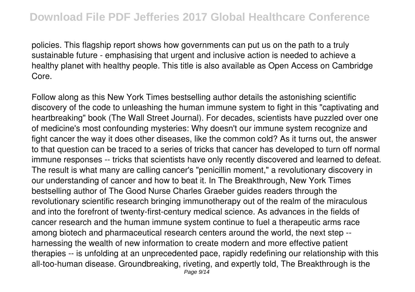policies. This flagship report shows how governments can put us on the path to a truly sustainable future - emphasising that urgent and inclusive action is needed to achieve a healthy planet with healthy people. This title is also available as Open Access on Cambridge Core.

Follow along as this New York Times bestselling author details the astonishing scientific discovery of the code to unleashing the human immune system to fight in this "captivating and heartbreaking" book (The Wall Street Journal). For decades, scientists have puzzled over one of medicine's most confounding mysteries: Why doesn't our immune system recognize and fight cancer the way it does other diseases, like the common cold? As it turns out, the answer to that question can be traced to a series of tricks that cancer has developed to turn off normal immune responses -- tricks that scientists have only recently discovered and learned to defeat. The result is what many are calling cancer's "penicillin moment," a revolutionary discovery in our understanding of cancer and how to beat it. In The Breakthrough, New York Times bestselling author of The Good Nurse Charles Graeber guides readers through the revolutionary scientific research bringing immunotherapy out of the realm of the miraculous and into the forefront of twenty-first-century medical science. As advances in the fields of cancer research and the human immune system continue to fuel a therapeutic arms race among biotech and pharmaceutical research centers around the world, the next step - harnessing the wealth of new information to create modern and more effective patient therapies -- is unfolding at an unprecedented pace, rapidly redefining our relationship with this all-too-human disease. Groundbreaking, riveting, and expertly told, The Breakthrough is the Page 9/14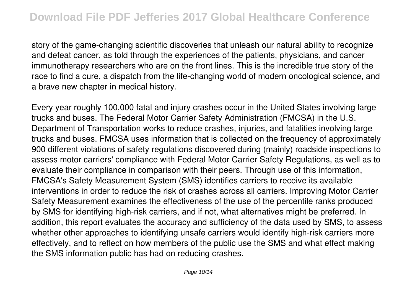story of the game-changing scientific discoveries that unleash our natural ability to recognize and defeat cancer, as told through the experiences of the patients, physicians, and cancer immunotherapy researchers who are on the front lines. This is the incredible true story of the race to find a cure, a dispatch from the life-changing world of modern oncological science, and a brave new chapter in medical history.

Every year roughly 100,000 fatal and injury crashes occur in the United States involving large trucks and buses. The Federal Motor Carrier Safety Administration (FMCSA) in the U.S. Department of Transportation works to reduce crashes, injuries, and fatalities involving large trucks and buses. FMCSA uses information that is collected on the frequency of approximately 900 different violations of safety regulations discovered during (mainly) roadside inspections to assess motor carriers' compliance with Federal Motor Carrier Safety Regulations, as well as to evaluate their compliance in comparison with their peers. Through use of this information, FMCSA's Safety Measurement System (SMS) identifies carriers to receive its available interventions in order to reduce the risk of crashes across all carriers. Improving Motor Carrier Safety Measurement examines the effectiveness of the use of the percentile ranks produced by SMS for identifying high-risk carriers, and if not, what alternatives might be preferred. In addition, this report evaluates the accuracy and sufficiency of the data used by SMS, to assess whether other approaches to identifying unsafe carriers would identify high-risk carriers more effectively, and to reflect on how members of the public use the SMS and what effect making the SMS information public has had on reducing crashes.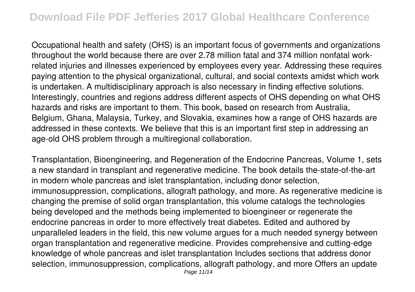Occupational health and safety (OHS) is an important focus of governments and organizations throughout the world because there are over 2.78 million fatal and 374 million nonfatal workrelated injuries and illnesses experienced by employees every year. Addressing these requires paying attention to the physical organizational, cultural, and social contexts amidst which work is undertaken. A multidisciplinary approach is also necessary in finding effective solutions. Interestingly, countries and regions address different aspects of OHS depending on what OHS hazards and risks are important to them. This book, based on research from Australia, Belgium, Ghana, Malaysia, Turkey, and Slovakia, examines how a range of OHS hazards are addressed in these contexts. We believe that this is an important first step in addressing an age-old OHS problem through a multiregional collaboration.

Transplantation, Bioengineering, and Regeneration of the Endocrine Pancreas, Volume 1, sets a new standard in transplant and regenerative medicine. The book details the-state-of-the-art in modern whole pancreas and islet transplantation, including donor selection, immunosuppression, complications, allograft pathology, and more. As regenerative medicine is changing the premise of solid organ transplantation, this volume catalogs the technologies being developed and the methods being implemented to bioengineer or regenerate the endocrine pancreas in order to more effectively treat diabetes. Edited and authored by unparalleled leaders in the field, this new volume argues for a much needed synergy between organ transplantation and regenerative medicine. Provides comprehensive and cutting-edge knowledge of whole pancreas and islet transplantation Includes sections that address donor selection, immunosuppression, complications, allograft pathology, and more Offers an update Page 11/14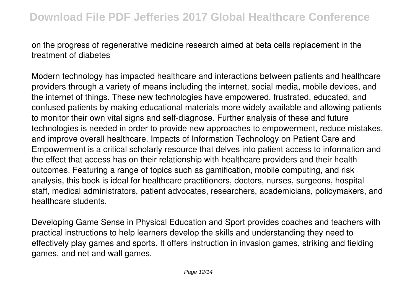on the progress of regenerative medicine research aimed at beta cells replacement in the treatment of diabetes

Modern technology has impacted healthcare and interactions between patients and healthcare providers through a variety of means including the internet, social media, mobile devices, and the internet of things. These new technologies have empowered, frustrated, educated, and confused patients by making educational materials more widely available and allowing patients to monitor their own vital signs and self-diagnose. Further analysis of these and future technologies is needed in order to provide new approaches to empowerment, reduce mistakes, and improve overall healthcare. Impacts of Information Technology on Patient Care and Empowerment is a critical scholarly resource that delves into patient access to information and the effect that access has on their relationship with healthcare providers and their health outcomes. Featuring a range of topics such as gamification, mobile computing, and risk analysis, this book is ideal for healthcare practitioners, doctors, nurses, surgeons, hospital staff, medical administrators, patient advocates, researchers, academicians, policymakers, and healthcare students.

Developing Game Sense in Physical Education and Sport provides coaches and teachers with practical instructions to help learners develop the skills and understanding they need to effectively play games and sports. It offers instruction in invasion games, striking and fielding games, and net and wall games.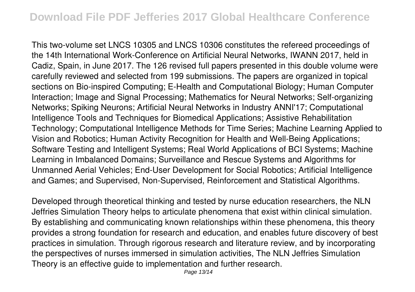This two-volume set LNCS 10305 and LNCS 10306 constitutes the refereed proceedings of the 14th International Work-Conference on Artificial Neural Networks, IWANN 2017, held in Cadiz, Spain, in June 2017. The 126 revised full papers presented in this double volume were carefully reviewed and selected from 199 submissions. The papers are organized in topical sections on Bio-inspired Computing; E-Health and Computational Biology; Human Computer Interaction; Image and Signal Processing; Mathematics for Neural Networks; Self-organizing Networks; Spiking Neurons; Artificial Neural Networks in Industry ANNI'17; Computational Intelligence Tools and Techniques for Biomedical Applications; Assistive Rehabilitation Technology; Computational Intelligence Methods for Time Series; Machine Learning Applied to Vision and Robotics; Human Activity Recognition for Health and Well-Being Applications; Software Testing and Intelligent Systems; Real World Applications of BCI Systems; Machine Learning in Imbalanced Domains; Surveillance and Rescue Systems and Algorithms for Unmanned Aerial Vehicles; End-User Development for Social Robotics; Artificial Intelligence and Games; and Supervised, Non-Supervised, Reinforcement and Statistical Algorithms.

Developed through theoretical thinking and tested by nurse education researchers, the NLN Jeffries Simulation Theory helps to articulate phenomena that exist within clinical simulation. By establishing and communicating known relationships within these phenomena, this theory provides a strong foundation for research and education, and enables future discovery of best practices in simulation. Through rigorous research and literature review, and by incorporating the perspectives of nurses immersed in simulation activities, The NLN Jeffries Simulation Theory is an effective guide to implementation and further research.